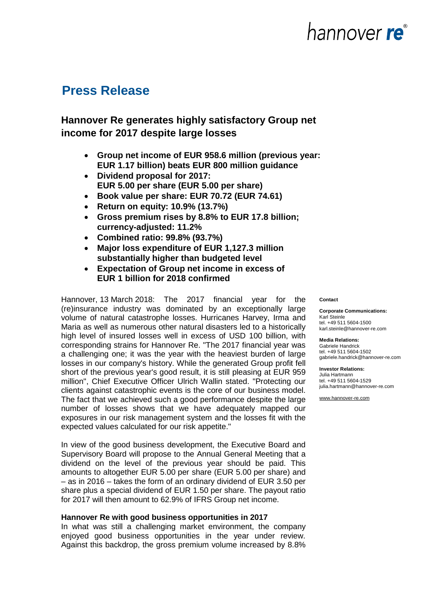### **Press Release**

### **Hannover Re generates highly satisfactory Group net income for 2017 despite large losses**

- **Group net income of EUR 958.6 million (previous year: EUR 1.17 billion) beats EUR 800 million guidance**
- **Dividend proposal for 2017: EUR 5.00 per share (EUR 5.00 per share)**
- **Book value per share: EUR 70.72 (EUR 74.61)**
- **Return on equity: 10.9% (13.7%)**
- **Gross premium rises by 8.8% to EUR 17.8 billion; currency-adjusted: 11.2%**
- **Combined ratio: 99.8% (93.7%)**
- **Major loss expenditure of EUR 1,127.3 million substantially higher than budgeted level**
- **Expectation of Group net income in excess of EUR 1 billion for 2018 confirmed**

Hannover, 13 March 2018: The 2017 financial year for the (re)insurance industry was dominated by an exceptionally large volume of natural catastrophe losses. Hurricanes Harvey, Irma and Maria as well as numerous other natural disasters led to a historically high level of insured losses well in excess of USD 100 billion, with corresponding strains for Hannover Re. "The 2017 financial year was a challenging one; it was the year with the heaviest burden of large losses in our company's history. While the generated Group profit fell short of the previous year's good result, it is still pleasing at EUR 959 million", Chief Executive Officer Ulrich Wallin stated. "Protecting our clients against catastrophic events is the core of our business model. The fact that we achieved such a good performance despite the large number of losses shows that we have adequately mapped our exposures in our risk management system and the losses fit with the expected values calculated for our risk appetite."

In view of the good business development, the Executive Board and Supervisory Board will propose to the Annual General Meeting that a dividend on the level of the previous year should be paid. This amounts to altogether EUR 5.00 per share (EUR 5.00 per share) and – as in 2016 – takes the form of an ordinary dividend of EUR 3.50 per share plus a special dividend of EUR 1.50 per share. The payout ratio for 2017 will then amount to 62.9% of IFRS Group net income.

#### **Hannover Re with good business opportunities in 2017**

In what was still a challenging market environment, the company enjoyed good business opportunities in the year under review. Against this backdrop, the gross premium volume increased by 8.8%

#### **Contact**

**Corporate Communications:** Karl Steinle tel. +49 511 5604-1500 karl.steinle@hannover-re.com

hannover re<sup>®</sup>

**Media Relations:**  Gabriele Handrick tel. +49 511 5604-1502 gabriele.handrick@hannover-re.com

**Investor Relations:**  Julia Hartmann tel. +49 511 5604-1529 julia.hartmann@hannover-re.com

[www.hannover-re.com](http://www.hannover-re.com/)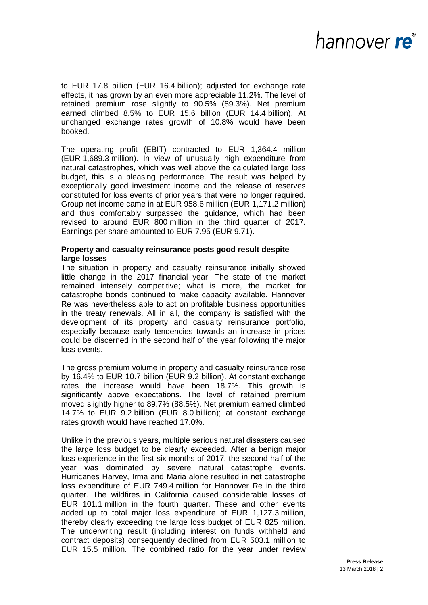# nannover re®

to EUR 17.8 billion (EUR 16.4 billion); adjusted for exchange rate effects, it has grown by an even more appreciable 11.2%. The level of retained premium rose slightly to 90.5% (89.3%). Net premium earned climbed 8.5% to EUR 15.6 billion (EUR 14.4 billion). At unchanged exchange rates growth of 10.8% would have been booked.

The operating profit (EBIT) contracted to EUR 1,364.4 million (EUR 1,689.3 million). In view of unusually high expenditure from natural catastrophes, which was well above the calculated large loss budget, this is a pleasing performance. The result was helped by exceptionally good investment income and the release of reserves constituted for loss events of prior years that were no longer required. Group net income came in at EUR 958.6 million (EUR 1,171.2 million) and thus comfortably surpassed the guidance, which had been revised to around EUR 800 million in the third quarter of 2017. Earnings per share amounted to EUR 7.95 (EUR 9.71).

### **Property and casualty reinsurance posts good result despite large losses**

The situation in property and casualty reinsurance initially showed little change in the 2017 financial year. The state of the market remained intensely competitive; what is more, the market for catastrophe bonds continued to make capacity available. Hannover Re was nevertheless able to act on profitable business opportunities in the treaty renewals. All in all, the company is satisfied with the development of its property and casualty reinsurance portfolio, especially because early tendencies towards an increase in prices could be discerned in the second half of the year following the major loss events.

The gross premium volume in property and casualty reinsurance rose by 16.4% to EUR 10.7 billion (EUR 9.2 billion). At constant exchange rates the increase would have been 18.7%. This growth is significantly above expectations. The level of retained premium moved slightly higher to 89.7% (88.5%). Net premium earned climbed 14.7% to EUR 9.2 billion (EUR 8.0 billion); at constant exchange rates growth would have reached 17.0%.

Unlike in the previous years, multiple serious natural disasters caused the large loss budget to be clearly exceeded. After a benign major loss experience in the first six months of 2017, the second half of the year was dominated by severe natural catastrophe events. Hurricanes Harvey, Irma and Maria alone resulted in net catastrophe loss expenditure of EUR 749.4 million for Hannover Re in the third quarter. The wildfires in California caused considerable losses of EUR 101.1 million in the fourth quarter. These and other events added up to total major loss expenditure of EUR 1,127.3 million, thereby clearly exceeding the large loss budget of EUR 825 million. The underwriting result (including interest on funds withheld and contract deposits) consequently declined from EUR 503.1 million to EUR 15.5 million. The combined ratio for the year under review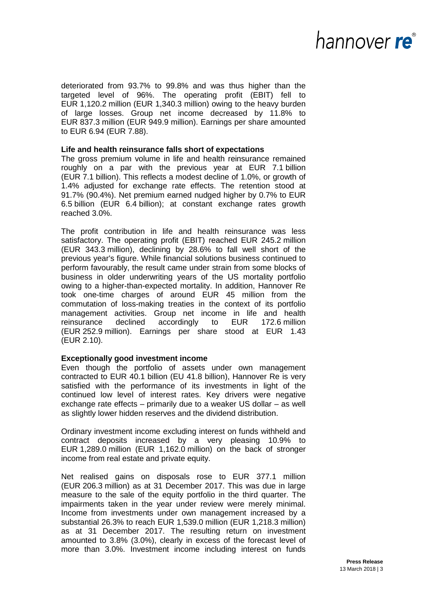## nannover re®

deteriorated from 93.7% to 99.8% and was thus higher than the targeted level of 96%. The operating profit (EBIT) fell to EUR 1,120.2 million (EUR 1,340.3 million) owing to the heavy burden of large losses. Group net income decreased by 11.8% to EUR 837.3 million (EUR 949.9 million). Earnings per share amounted to EUR 6.94 (EUR 7.88).

### **Life and health reinsurance falls short of expectations**

The gross premium volume in life and health reinsurance remained roughly on a par with the previous year at EUR 7.1 billion (EUR 7.1 billion). This reflects a modest decline of 1.0%, or growth of 1.4% adjusted for exchange rate effects. The retention stood at 91.7% (90.4%). Net premium earned nudged higher by 0.7% to EUR 6.5 billion (EUR 6.4 billion); at constant exchange rates growth reached 3.0%.

The profit contribution in life and health reinsurance was less satisfactory. The operating profit (EBIT) reached EUR 245.2 million (EUR 343.3 million), declining by 28.6% to fall well short of the previous year's figure. While financial solutions business continued to perform favourably, the result came under strain from some blocks of business in older underwriting years of the US mortality portfolio owing to a higher-than-expected mortality. In addition, Hannover Re took one-time charges of around EUR 45 million from the commutation of loss-making treaties in the context of its portfolio management activities. Group net income in life and health reinsurance declined accordingly to EUR 172.6 million (EUR 252.9 million). Earnings per share stood at EUR 1.43 (EUR 2.10).

### **Exceptionally good investment income**

Even though the portfolio of assets under own management contracted to EUR 40.1 billion (EU 41.8 billion), Hannover Re is very satisfied with the performance of its investments in light of the continued low level of interest rates. Key drivers were negative exchange rate effects – primarily due to a weaker US dollar – as well as slightly lower hidden reserves and the dividend distribution.

Ordinary investment income excluding interest on funds withheld and contract deposits increased by a very pleasing 10.9% to EUR 1,289.0 million (EUR 1,162.0 million) on the back of stronger income from real estate and private equity.

Net realised gains on disposals rose to EUR 377.1 million (EUR 206.3 million) as at 31 December 2017. This was due in large measure to the sale of the equity portfolio in the third quarter. The impairments taken in the year under review were merely minimal. Income from investments under own management increased by a substantial 26.3% to reach EUR 1,539.0 million (EUR 1,218.3 million) as at 31 December 2017. The resulting return on investment amounted to 3.8% (3.0%), clearly in excess of the forecast level of more than 3.0%. Investment income including interest on funds